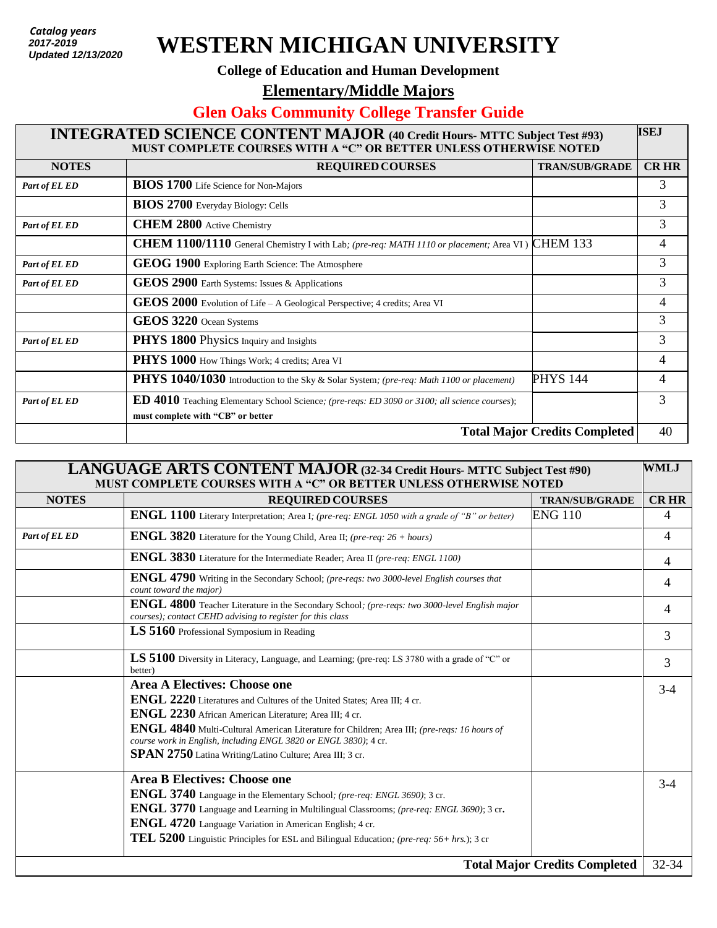*Catalog years 2017 - present Updated: 7/27/2018*  **Updated 12/13/20202017-2019**

## **WESTERN MICHIGAN UNIVERSITY**

## **College of Education and Human Development**

**Elementary/Middle Majors** 

## **Glen Oaks Community College Transfer Guide**

| <b>ISEJ</b><br><b>INTEGRATED SCIENCE CONTENT MAJOR (40 Credit Hours- MTTC Subject Test #93)</b><br>MUST COMPLETE COURSES WITH A "C" OR BETTER UNLESS OTHERWISE NOTED |                                                                                                                                           |                       |                |
|----------------------------------------------------------------------------------------------------------------------------------------------------------------------|-------------------------------------------------------------------------------------------------------------------------------------------|-----------------------|----------------|
| <b>NOTES</b>                                                                                                                                                         | <b>REQUIRED COURSES</b>                                                                                                                   | <b>TRAN/SUB/GRADE</b> | <b>CRHR</b>    |
| Part of EL ED                                                                                                                                                        | <b>BIOS 1700</b> Life Science for Non-Majors                                                                                              |                       | 3              |
|                                                                                                                                                                      | <b>BIOS 2700</b> Everyday Biology: Cells                                                                                                  |                       | $\overline{3}$ |
| Part of EL ED                                                                                                                                                        | <b>CHEM 2800</b> Active Chemistry                                                                                                         |                       | 3              |
|                                                                                                                                                                      | CHEM 1100/1110 General Chemistry I with Lab; (pre-req: MATH 1110 or placement; Area VI)                                                   | <b>CHEM 133</b>       | 4              |
| Part of EL ED                                                                                                                                                        | GEOG 1900 Exploring Earth Science: The Atmosphere                                                                                         |                       | 3              |
| Part of EL ED                                                                                                                                                        | GEOS 2900 Earth Systems: Issues & Applications                                                                                            |                       | 3              |
|                                                                                                                                                                      | $GEOS$ 2000 Evolution of Life – A Geological Perspective; 4 credits; Area VI                                                              |                       | 4              |
|                                                                                                                                                                      | GEOS 3220 Ocean Systems                                                                                                                   |                       | 3              |
| Part of EL ED                                                                                                                                                        | PHYS 1800 Physics Inquiry and Insights                                                                                                    |                       | 3              |
|                                                                                                                                                                      | PHYS 1000 How Things Work; 4 credits; Area VI                                                                                             |                       | 4              |
|                                                                                                                                                                      | PHYS 1040/1030 Introduction to the Sky & Solar System; (pre-req: Math 1100 or placement)                                                  | <b>PHYS 144</b>       | 4              |
| Part of EL ED                                                                                                                                                        | <b>ED 4010</b> Teaching Elementary School Science; (pre-reqs: ED 3090 or 3100; all science courses);<br>must complete with "CB" or better |                       | 3              |
| <b>Total Major Credits Completed</b>                                                                                                                                 |                                                                                                                                           |                       | 40             |

| <b>LANGUAGE ARTS CONTENT MAJOR (32-34 Credit Hours- MTTC Subject Test #90)</b><br>MUST COMPLETE COURSES WITH A "C" OR BETTER UNLESS OTHERWISE NOTED |                                                                                                                                                                        |                       | <b>WMLJ</b>    |
|-----------------------------------------------------------------------------------------------------------------------------------------------------|------------------------------------------------------------------------------------------------------------------------------------------------------------------------|-----------------------|----------------|
| <b>NOTES</b>                                                                                                                                        | <b>REQUIRED COURSES</b>                                                                                                                                                | <b>TRAN/SUB/GRADE</b> | <b>CRHR</b>    |
|                                                                                                                                                     | ENGL 1100 Literary Interpretation; Area I; (pre-req: ENGL 1050 with a grade of "B" or better)                                                                          | <b>ENG 110</b>        | 4              |
| Part of EL ED                                                                                                                                       | <b>ENGL 3820</b> Literature for the Young Child, Area II; (pre-req: 26 + hours)                                                                                        |                       | $\overline{4}$ |
|                                                                                                                                                     | ENGL 3830 Literature for the Intermediate Reader; Area II (pre-req: ENGL 1100)                                                                                         |                       | 4              |
|                                                                                                                                                     | <b>ENGL 4790</b> Writing in the Secondary School; (pre-reqs: two 3000-level English courses that<br>count toward the major)                                            |                       | 4              |
|                                                                                                                                                     | ENGL 4800 Teacher Literature in the Secondary School; (pre-reqs: two 3000-level English major<br>courses); contact CEHD advising to register for this class            |                       | 4              |
|                                                                                                                                                     | LS 5160 Professional Symposium in Reading                                                                                                                              |                       | 3              |
|                                                                                                                                                     | LS 5100 Diversity in Literacy, Language, and Learning; (pre-req: LS 3780 with a grade of "C" or<br>better)                                                             |                       | 3              |
|                                                                                                                                                     | Area A Electives: Choose one                                                                                                                                           |                       | $3-4$          |
|                                                                                                                                                     | ENGL 2220 Literatures and Cultures of the United States; Area III; 4 cr.                                                                                               |                       |                |
|                                                                                                                                                     | ENGL 2230 African American Literature; Area III; 4 cr.                                                                                                                 |                       |                |
|                                                                                                                                                     | <b>ENGL 4840</b> Multi-Cultural American Literature for Children; Area III; (pre-reqs: 16 hours of<br>course work in English, including ENGL 3820 or ENGL 3830); 4 cr. |                       |                |
|                                                                                                                                                     | <b>SPAN 2750</b> Latina Writing/Latino Culture; Area III; 3 cr.                                                                                                        |                       |                |
|                                                                                                                                                     | <b>Area B Electives: Choose one</b>                                                                                                                                    |                       | $3-4$          |
|                                                                                                                                                     | <b>ENGL 3740</b> Language in the Elementary School; (pre-req: ENGL 3690); 3 cr.                                                                                        |                       |                |
|                                                                                                                                                     | <b>ENGL 3770</b> Language and Learning in Multilingual Classrooms; (pre-req: ENGL 3690); 3 cr.                                                                         |                       |                |
|                                                                                                                                                     | <b>ENGL 4720</b> Language Variation in American English; 4 cr.                                                                                                         |                       |                |
|                                                                                                                                                     | TEL 5200 Linguistic Principles for ESL and Bilingual Education; (pre-req: 56+ hrs.); 3 cr                                                                              |                       |                |
| <b>Total Major Credits Completed</b>                                                                                                                |                                                                                                                                                                        |                       | 32-34          |